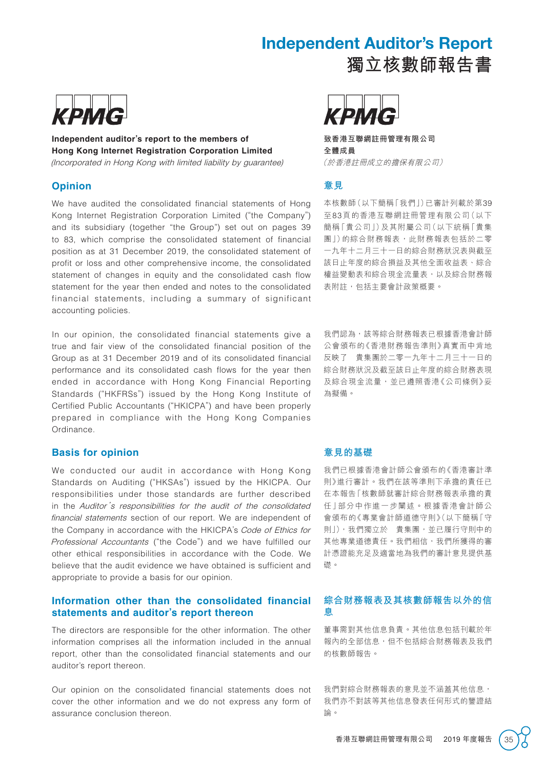# Independent Auditor's Report



**Independent auditor's report to the members of Hong Kong Internet Registration Corporation Limited** (Incorporated in Hong Kong with limited liability by guarantee)

#### **Opinion**

We have audited the consolidated financial statements of Hong Kong Internet Registration Corporation Limited ("the Company") and its subsidiary (together "the Group") set out on pages 39 to 83, which comprise the consolidated statement of financial position as at 31 December 2019, the consolidated statement of profit or loss and other comprehensive income, the consolidated statement of changes in equity and the consolidated cash flow statement for the year then ended and notes to the consolidated financial statements, including a summary of significant accounting policies.

In our opinion, the consolidated financial statements give a true and fair view of the consolidated financial position of the Group as at 31 December 2019 and of its consolidated financial performance and its consolidated cash flows for the year then ended in accordance with Hong Kong Financial Reporting Standards ("HKFRSs") issued by the Hong Kong Institute of Certified Public Accountants ("HKICPA") and have been properly prepared in compliance with the Hong Kong Companies Ordinance.

#### **Basis for opinion**

We conducted our audit in accordance with Hong Kong Standards on Auditing ("HKSAs") issued by the HKICPA. Our responsibilities under those standards are further described in the Auditor's responsibilities for the audit of the consolidated financial statements section of our report. We are independent of the Company in accordance with the HKICPA's Code of Ethics for Professional Accountants ("the Code") and we have fulfilled our other ethical responsibilities in accordance with the Code. We believe that the audit evidence we have obtained is sufficient and appropriate to provide a basis for our opinion.

#### **Information other than the consolidated financial statements and auditor's report thereon**

The directors are responsible for the other information. The other information comprises all the information included in the annual report, other than the consolidated financial statements and our auditor's report thereon.

Our opinion on the consolidated financial statements does not cover the other information and we do not express any form of assurance conclusion thereon.



**致香港互聯網註冊管理有限公司 全體成員** (於香港註冊成立的擔保有限公司)

# **意見**

本核數師(以下簡稱「我們」)已審計列載於第39 至83頁的香港互聯網註冊管理有限公司(以下 簡稱「貴公司」)及其附屬公司(以下統稱「貴集 團」)的綜合財務報表,此財務報表包括於二零 一九年十二月三十一日的綜合財務狀況表與截至 該日止年度的綜合損益及其他全面收益表、綜合 權益變動表和綜合現金流量表,以及綜合財務報 表附註,包括主要會計政策概要。

**獨立核數師報告書**

我們認為,該等綜合財務報表已根據香港會計師 公會頒布的《香港財務報告準則》真實而中肯地 反映了 貴集團於二零一九年十二月三十一日的 綜合財務狀況及截至該日止年度的綜合財務表現 及綜合現金流量,並已遵照香港《公司條例》妥 為擬備。

#### **意見的基礎**

我們已根據香港會計師公會頒布的《香港審計準 則》進行審計。我們在該等準則下承擔的責任已 在本報告「核數師就審計綜合財務報表承擔的責 任」部分中作進一步闡述。根據香港會計師公 會頒布的《專業會計師道德守則》(以下簡稱「守 則」),我們獨立於 貴集團,並已履行守則中的 其他專業道德責任。我們相信,我們所獲得的審 計憑證能充足及適當地為我們的審計意見提供基 礎。

#### **綜合財務報表及其核數師報告以外的信 息**

董事需對其他信息負責。其他信息包括刊載於年 報內的全部信息,但不包括綜合財務報表及我們 的核數師報告。

我們對綜合財務報表的意見並不涵蓋其他信息, 我們亦不對該等其他信息發表任何形式的鑒證結 論。

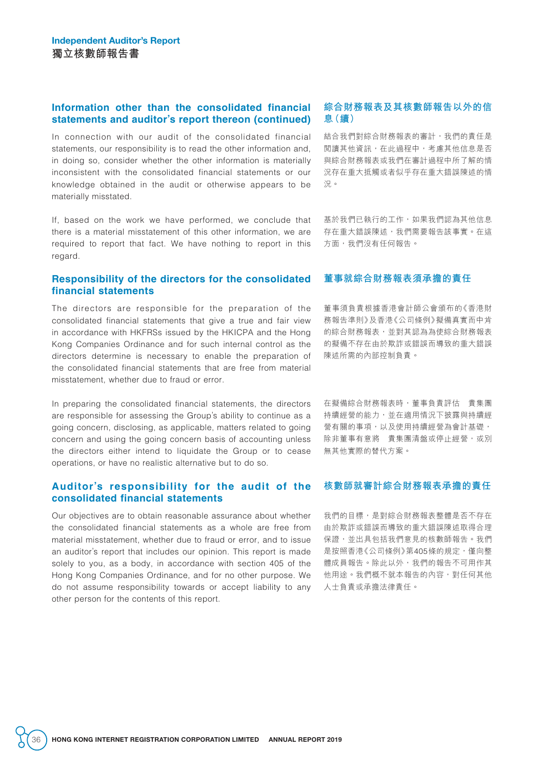#### **Information other than the consolidated financial statements and auditor's report thereon (continued)**

In connection with our audit of the consolidated financial statements, our responsibility is to read the other information and, in doing so, consider whether the other information is materially inconsistent with the consolidated financial statements or our knowledge obtained in the audit or otherwise appears to be materially misstated.

If, based on the work we have performed, we conclude that there is a material misstatement of this other information, we are required to report that fact. We have nothing to report in this regard.

#### **Responsibility of the directors for the consolidated financial statements**

The directors are responsible for the preparation of the consolidated financial statements that give a true and fair view in accordance with HKFRSs issued by the HKICPA and the Hong Kong Companies Ordinance and for such internal control as the directors determine is necessary to enable the preparation of the consolidated financial statements that are free from material misstatement, whether due to fraud or error.

In preparing the consolidated financial statements, the directors are responsible for assessing the Group's ability to continue as a going concern, disclosing, as applicable, matters related to going concern and using the going concern basis of accounting unless the directors either intend to liquidate the Group or to cease operations, or have no realistic alternative but to do so.

#### **Auditor's responsibility for the audit of the consolidated financial statements**

Our objectives are to obtain reasonable assurance about whether the consolidated financial statements as a whole are free from material misstatement, whether due to fraud or error, and to issue an auditor's report that includes our opinion. This report is made solely to you, as a body, in accordance with section 405 of the Hong Kong Companies Ordinance, and for no other purpose. We do not assume responsibility towards or accept liability to any other person for the contents of this report.

# **綜合財務報表及其核數師報告以外的信 息(續)**

結合我們對綜合財務報表的審計,我們的責任是 閱讀其他資訊,在此過程中,考慮其他信息是否 與綜合財務報表或我們在審計過程中所了解的情 況存在重大抵觸或者似乎存在重大錯誤陳述的情 況。

基於我們已執行的工作,如果我們認為其他信息 存在重大錯誤陳述,我們需要報告該事實。在這 方面,我們沒有任何報告。

### **董事就綜合財務報表須承擔的責任**

董事須負責根據香港會計師公會頒布的《香港財 務報告準則》及香港《公司條例》擬備真實而中肯 的綜合財務報表,並對其認為為使綜合財務報表 的擬備不存在由於欺詐或錯誤而導致的重大錯誤 陳述所需的內部控制負責。

在擬備綜合財務報表時,董事負責評估 貴集團 持續經營的能力,並在適用情況下披露與持續經 營有關的事項,以及使用持續經營為會計基礎, 除非董事有意將 貴集團清盤或停止經營,或別 無其他實際的替代方案。

# **核數師就審計綜合財務報表承擔的責任**

我們的目標,是對綜合財務報表整體是否不存在 由於欺詐或錯誤而導致的重大錯誤陳述取得合理 保證,並出具包括我們意見的核數師報告。我們 是按照香港《公司條例》第405條的規定,僅向整 體成員報告。除此以外,我們的報告不可用作其 他用途。我們概不就本報告的內容,對任何其他 人士負責或承擔法律責任。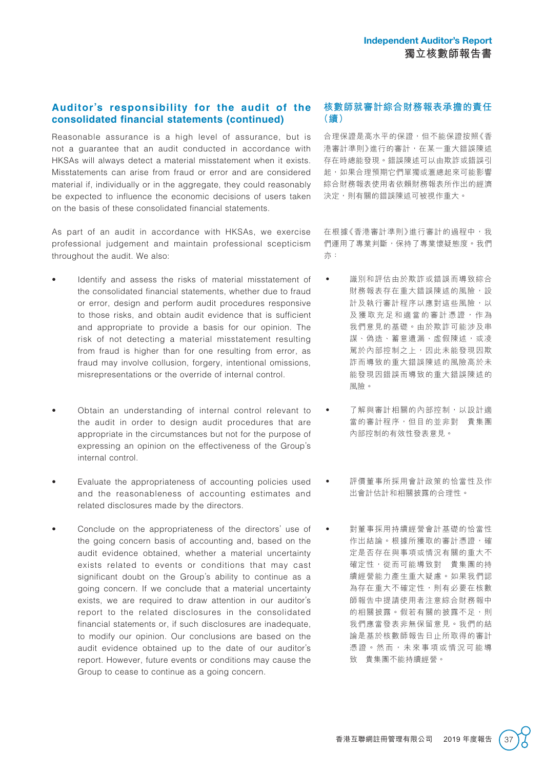## **Auditor's responsibility for the audit of the consolidated financial statements (continued)**

Reasonable assurance is a high level of assurance, but is not a guarantee that an audit conducted in accordance with HKSAs will always detect a material misstatement when it exists. Misstatements can arise from fraud or error and are considered material if, individually or in the aggregate, they could reasonably be expected to influence the economic decisions of users taken on the basis of these consolidated financial statements.

As part of an audit in accordance with HKSAs, we exercise professional judgement and maintain professional scepticism throughout the audit. We also:

- Identify and assess the risks of material misstatement of the consolidated financial statements, whether due to fraud or error, design and perform audit procedures responsive to those risks, and obtain audit evidence that is sufficient and appropriate to provide a basis for our opinion. The risk of not detecting a material misstatement resulting from fraud is higher than for one resulting from error, as fraud may involve collusion, forgery, intentional omissions, misrepresentations or the override of internal control.
- Obtain an understanding of internal control relevant to the audit in order to design audit procedures that are appropriate in the circumstances but not for the purpose of expressing an opinion on the effectiveness of the Group's internal control.
- Evaluate the appropriateness of accounting policies used and the reasonableness of accounting estimates and related disclosures made by the directors.
- Conclude on the appropriateness of the directors' use of the going concern basis of accounting and, based on the audit evidence obtained, whether a material uncertainty exists related to events or conditions that may cast significant doubt on the Group's ability to continue as a going concern. If we conclude that a material uncertainty exists, we are required to draw attention in our auditor's report to the related disclosures in the consolidated financial statements or, if such disclosures are inadequate, to modify our opinion. Our conclusions are based on the audit evidence obtained up to the date of our auditor's report. However, future events or conditions may cause the Group to cease to continue as a going concern.

# **核數師就審計綜合財務報表承擔的責任 (續)**

合理保證是高水平的保證,但不能保證按照《香 港審計準則》進行的審計,在某一重大錯誤陳述 存在時總能發現。錯誤陳述可以由欺詐或錯誤引 起,如果合理預期它們單獨或滙總起來可能影響 綜合財務報表使用者依賴財務報表所作出的經濟 決定,則有關的錯誤陳述可被視作重大。

在根據《香港審計準則》進行審計的過程中,我 們運用了專業判斷,保持了專業懷疑態度。我們 亦:

- 識別和評估由於欺詐或錯誤而導致綜合 財務報表存在重大錯誤陳述的風險,設 計及執行審計程序以應對這些風險,以 及獲取充足和適當的審計憑證,作為 我們意見的基礎。由於欺詐可能涉及串 謀、偽造、蓄意遺漏、虚假陳述,或凌 駕於內部控制之上,因此未能發現因欺 詐而導致的重大錯誤陳述的風險高於未 能發現因錯誤而導致的重大錯誤陳述的 風險。
	- 了解與審計相關的內部控制,以設計適 當的審計程序,但目的並非對 貴集團 內部控制的有效性發表意見。
- 評價董事所採用會計政策的恰當性及作 出會計估計和相關披露的合理性。
- 對董事採用持續經營會計基礎的恰當性 作出結論。根據所獲取的審計憑證,確 定是否存在與事項或情況有關的重大不 確定性,從而可能導致對 貴集團的持 續經營能力產生重大疑慮。如果我們認 為存在重大不確定性,則有必要在核數 師報告中提請使用者注意綜合財務報中 的相關披露。假若有關的披露不足,則 我們應當發表非無保留意見。我們的結 論是基於核數師報告日止所取得的審計 憑證。然而,未來事項或情況可能導 致 貴集團不能持續經營。